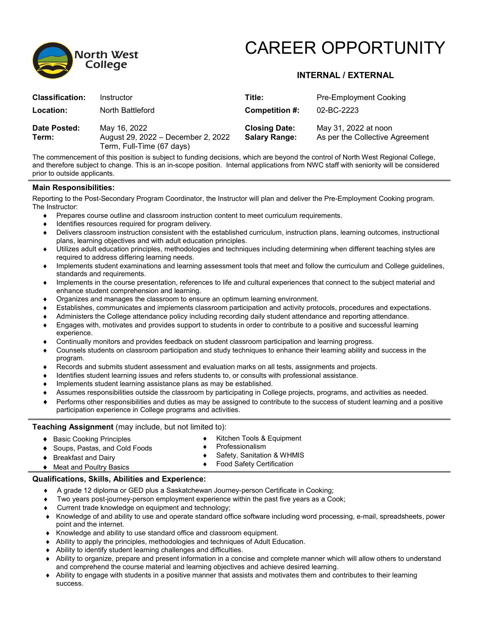

# CAREER OPPORTUNITY

## **INTERNAL / EXTERNAL**

| <b>Classification:</b> | Instructor                                                                      | Title:                                       | <b>Pre-Employment Cooking</b>                           |
|------------------------|---------------------------------------------------------------------------------|----------------------------------------------|---------------------------------------------------------|
| Location:              | North Battleford                                                                | Competition #:                               | 02-BC-2223                                              |
| Date Posted:<br>Term:  | May 16, 2022<br>August 29, 2022 - December 2, 2022<br>Term, Full-Time (67 days) | <b>Closing Date:</b><br><b>Salary Range:</b> | May 31, 2022 at noon<br>As per the Collective Agreement |

The commencement of this position is subject to funding decisions, which are beyond the control of North West Regional College, and therefore subject to change. This is an in-scope position. Internal applications from NWC staff with seniority will be considered prior to outside applicants.

#### **Main Responsibilities:**

Reporting to the Post-Secondary Program Coordinator, the Instructor will plan and deliver the Pre-Employment Cooking program. The Instructor:

- ♦ Prepares course outline and classroom instruction content to meet curriculum requirements.
- ♦ Identifies resources required for program delivery.
- ♦ Delivers classroom instruction consistent with the established curriculum, instruction plans, learning outcomes, instructional plans, learning objectives and with adult education principles.
- ♦ Utilizes adult education principles, methodologies and techniques including determining when different teaching styles are required to address differing learning needs.
- ♦ Implements student examinations and learning assessment tools that meet and follow the curriculum and College guidelines, standards and requirements.
- ♦ Implements in the course presentation, references to life and cultural experiences that connect to the subject material and enhance student comprehension and learning.
- Organizes and manages the classroom to ensure an optimum learning environment.
- Establishes, communicates and implements classroom participation and activity protocols, procedures and expectations.
- Administers the College attendance policy including recording daily student attendance and reporting attendance.
- Engages with, motivates and provides support to students in order to contribute to a positive and successful learning experience.
- Continually monitors and provides feedback on student classroom participation and learning progress.
- ♦ Counsels students on classroom participation and study techniques to enhance their learning ability and success in the program.
- Records and submits student assessment and evaluation marks on all tests, assignments and projects.
- Identifies student learning issues and refers students to, or consults with professional assistance.
- Implements student learning assistance plans as may be established.
- Assumes responsibilities outside the classroom by participating in College projects, programs, and activities as needed.
- Performs other responsibilities and duties as may be assigned to contribute to the success of student learning and a positive participation experience in College programs and activities.

### **Teaching Assignment** (may include, but not limited to):

- ♦ Basic Cooking Principles
- ♦ Soups, Pastas, and Cold Foods
- Kitchen Tools & Equipment ♦ Professionalism
- ♦ Breakfast and Dairy
- ♦ Safety, Sanitation & WHMIS
- ♦ Meat and Poultry Basics ♦ Food Safety Certification

### **Qualifications, Skills, Abilities and Experience:**

- A grade 12 diploma or GED plus a Saskatchewan Journey-person Certificate in Cooking;
- Two years post-journey-person employment experience within the past five years as a Cook;
- Current trade knowledge on equipment and technology;
- Knowledge of and ability to use and operate standard office software including word processing, e-mail, spreadsheets, power point and the internet.
- ♦ Knowledge and ability to use standard office and classroom equipment.
- ♦ Ability to apply the principles, methodologies and techniques of Adult Education.
- Ability to identify student learning challenges and difficulties.
- ♦ Ability to organize, prepare and present information in a concise and complete manner which will allow others to understand and comprehend the course material and learning objectives and achieve desired learning.
- Ability to engage with students in a positive manner that assists and motivates them and contributes to their learning success.